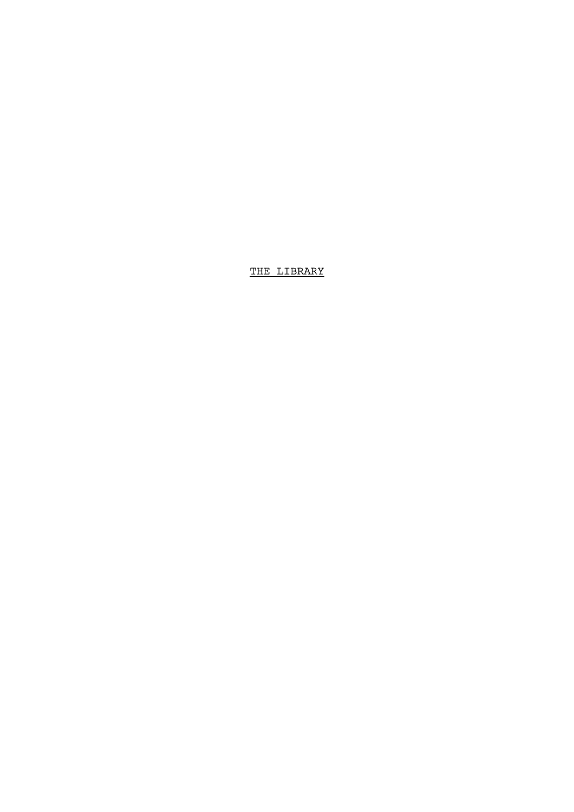THE LIBRARY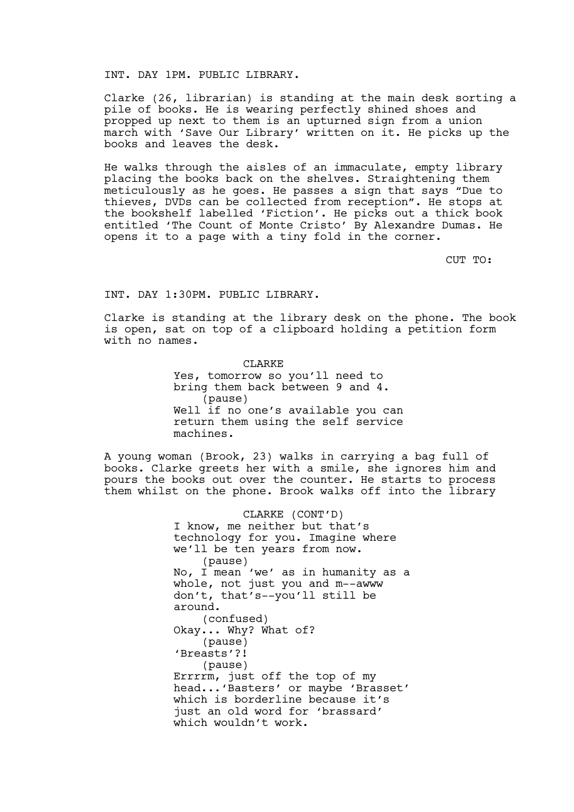## INT. DAY 1PM. PUBLIC LIBRARY.

Clarke (26, librarian) is standing at the main desk sorting a pile of books. He is wearing perfectly shined shoes and propped up next to them is an upturned sign from a union march with 'Save Our Library' written on it. He picks up the books and leaves the desk.

He walks through the aisles of an immaculate, empty library placing the books back on the shelves. Straightening them meticulously as he goes. He passes a sign that says "Due to thieves, DVDs can be collected from reception". He stops at the bookshelf labelled 'Fiction'. He picks out a thick book entitled 'The Count of Monte Cristo' By Alexandre Dumas. He opens it to a page with a tiny fold in the corner.

CUT TO:

### INT. DAY 1:30PM. PUBLIC LIBRARY.

Clarke is standing at the library desk on the phone. The book is open, sat on top of a clipboard holding a petition form with no names.

> CLARKE Yes, tomorrow so you'll need to bring them back between 9 and 4. (pause) Well if no one's available you can return them using the self service machines.

A young woman (Brook, 23) walks in carrying a bag full of books. Clarke greets her with a smile, she ignores him and pours the books out over the counter. He starts to process them whilst on the phone. Brook walks off into the library

> CLARKE (CONT'D) I know, me neither but that's technology for you. Imagine where we'll be ten years from now. (pause) No, I mean 'we' as in humanity as a whole, not just you and m--awww don't, that's--you'll still be around. (confused) Okay... Why? What of? (pause) 'Breasts'?! (pause) Errrrm, just off the top of my head...'Basters' or maybe 'Brasset' which is borderline because it's just an old word for 'brassard' which wouldn't work.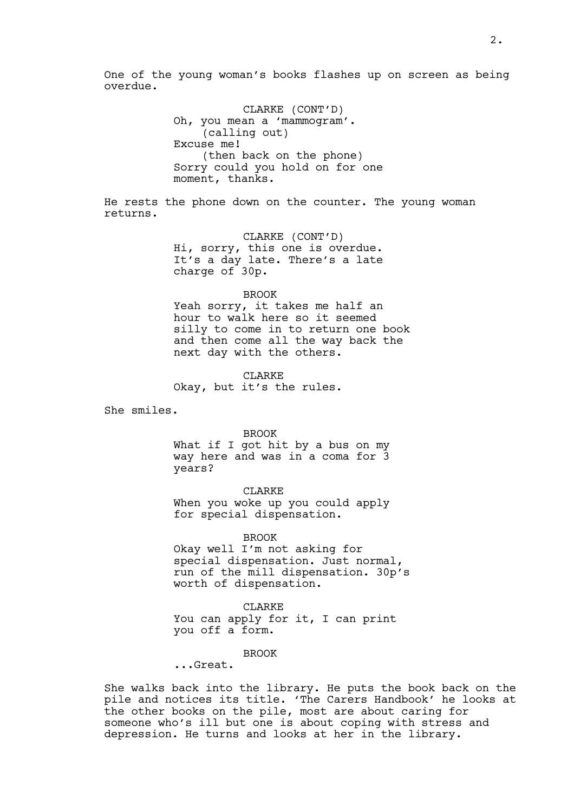One of the young woman's books flashes up on screen as being overdue.

> CLARKE (CONT'D) Oh, you mean a 'mammogram'. (calling out) Excuse me! (then back on the phone) Sorry could you hold on for one moment, thanks.

He rests the phone down on the counter. The young woman returns.

> CLARKE (CONT'D) Hi, sorry, this one is overdue. It's a day late. There's a late charge of 30p.

#### BROOK

Yeah sorry, it takes me half an hour to walk here so it seemed silly to come in to return one book and then come all the way back the next day with the others.

CLARKE Okay, but it's the rules.

She smiles.

BROOK

What if I got hit by a bus on my way here and was in a coma for 3 years?

CLARKE

When you woke up you could apply for special dispensation.

BROOK

Okay well I'm not asking for special dispensation. Just normal, run of the mill dispensation. 30p's worth of dispensation.

**CLARKE** You can apply for it, I can print you off a form.

## **BROOK**

...Great.

She walks back into the library. He puts the book back on the pile and notices its title. 'The Carers Handbook' he looks at the other books on the pile, most are about caring for someone who's ill but one is about coping with stress and depression. He turns and looks at her in the library.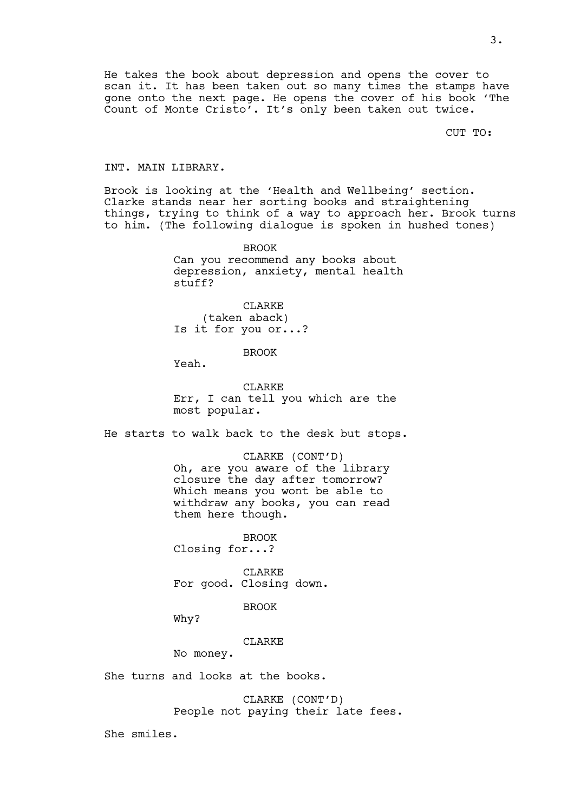He takes the book about depression and opens the cover to scan it. It has been taken out so many times the stamps have gone onto the next page. He opens the cover of his book 'The Count of Monte Cristo'. It's only been taken out twice.

CUT TO:

#### INT. MAIN LIBRARY.

Brook is looking at the 'Health and Wellbeing' section. Clarke stands near her sorting books and straightening things, trying to think of a way to approach her. Brook turns to him. (The following dialogue is spoken in hushed tones)

> BROOK Can you recommend any books about depression, anxiety, mental health stuff?

CLARKE (taken aback) Is it for you or...?

BROOK

Yeah.

CLARKE Err, I can tell you which are the most popular.

He starts to walk back to the desk but stops.

CLARKE (CONT'D) Oh, are you aware of the library closure the day after tomorrow? Which means you wont be able to withdraw any books, you can read them here though.

BROOK Closing for...?

CLARKE For good. Closing down.

BROOK

Why?

**CLARKE** 

No money.

She turns and looks at the books.

CLARKE (CONT'D) People not paying their late fees.

She smiles.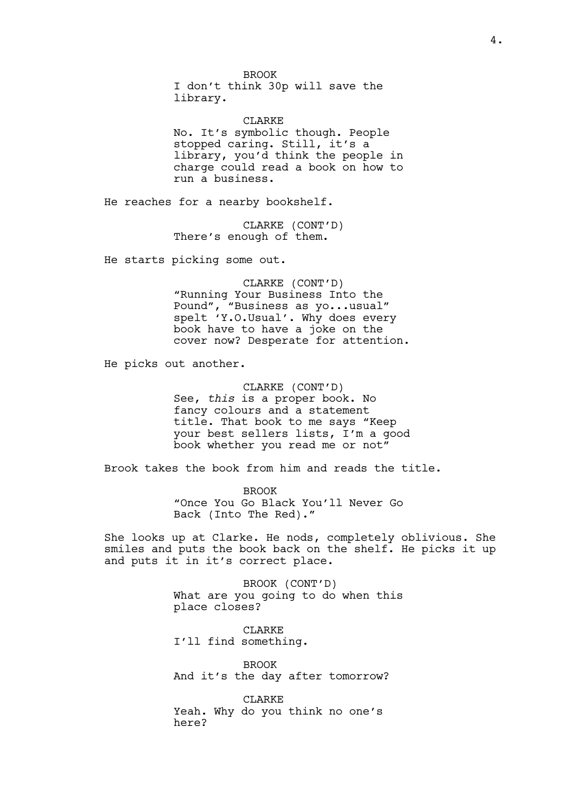BROOK I don't think 30p will save the library.

CLARKE No. It's symbolic though. People stopped caring. Still, it's a library, you'd think the people in charge could read a book on how to run a business.

He reaches for a nearby bookshelf.

CLARKE (CONT'D) There's enough of them.

He starts picking some out.

CLARKE (CONT'D) "Running Your Business Into the Pound", "Business as yo...usual" spelt 'Y.O.Usual'. Why does every book have to have a joke on the cover now? Desperate for attention.

He picks out another.

CLARKE (CONT'D) See, *this* is a proper book. No fancy colours and a statement title. That book to me says "Keep your best sellers lists, I'm a good book whether you read me or not"

Brook takes the book from him and reads the title.

BROOK "Once You Go Black You'll Never Go Back (Into The Red)."

She looks up at Clarke. He nods, completely oblivious. She smiles and puts the book back on the shelf. He picks it up and puts it in it's correct place.

> BROOK (CONT'D) What are you going to do when this place closes?

CLARKE I'll find something.

BROOK And it's the day after tomorrow?

CLARKE Yeah. Why do you think no one's here?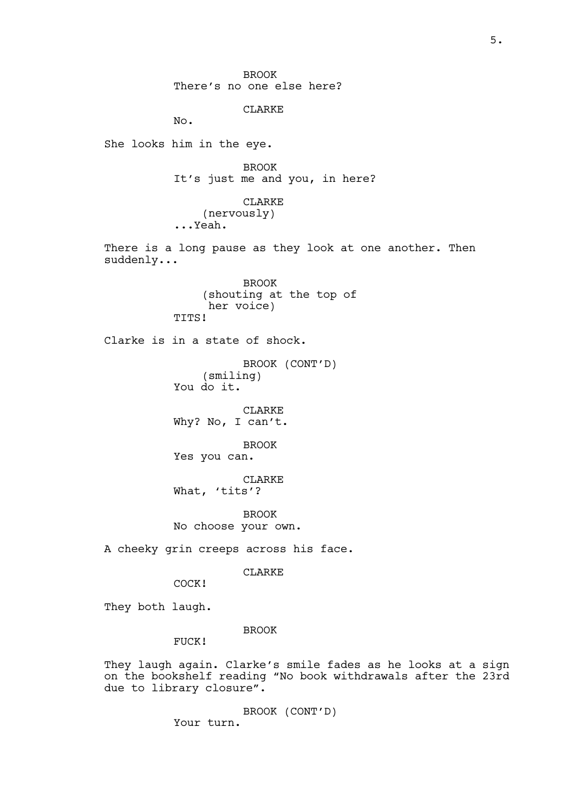BROOK There's no one else here? CLARKE No. She looks him in the eye. BROOK It's just me and you, in here? CLARKE (nervously) ...Yeah. There is a long pause as they look at one another. Then suddenly... BROOK (shouting at the top of her voice) TTTS! Clarke is in a state of shock. BROOK (CONT'D) (smiling) You do it. CLARKE Why? No, I can't. BROOK Yes you can. CLARKE What, 'tits'? BROOK No choose your own. A cheeky grin creeps across his face. CLARKE COCK! They both laugh. BROOK FUCK! They laugh again. Clarke's smile fades as he looks at a sign on the bookshelf reading "No book withdrawals after the 23rd due to library closure". BROOK (CONT'D)

Your turn.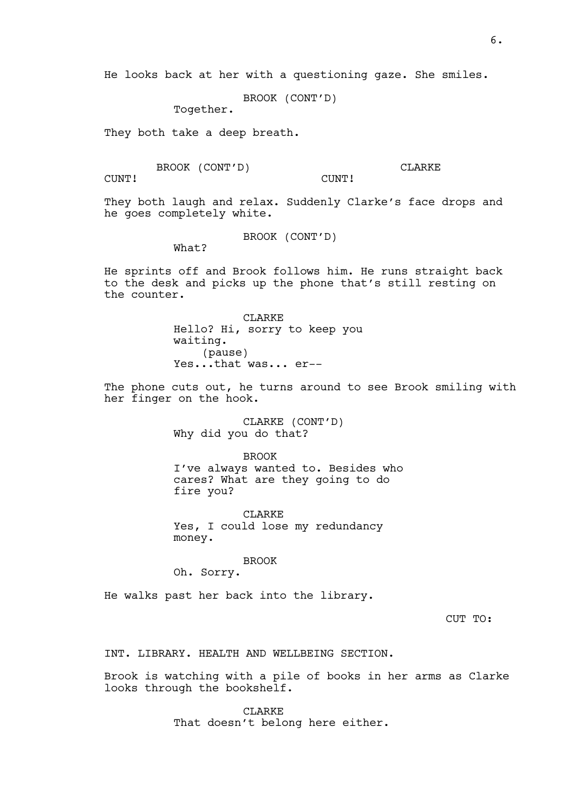He looks back at her with a questioning gaze. She smiles.

BROOK (CONT'D)

Together.

They both take a deep breath.

BROOK (CONT'D)

CLARKE

CUNT!

They both laugh and relax. Suddenly Clarke's face drops and he goes completely white.

CUNT!

BROOK (CONT'D)

What?

He sprints off and Brook follows him. He runs straight back to the desk and picks up the phone that's still resting on the counter.

> CLARKE Hello? Hi, sorry to keep you waiting. (pause) Yes...that was... er--

The phone cuts out, he turns around to see Brook smiling with her finger on the hook.

> CLARKE (CONT'D) Why did you do that?

BROOK I've always wanted to. Besides who cares? What are they going to do fire you?

CLARKE Yes, I could lose my redundancy money.

#### BROOK

Oh. Sorry.

He walks past her back into the library.

CUT TO:

INT. LIBRARY. HEALTH AND WELLBEING SECTION.

Brook is watching with a pile of books in her arms as Clarke looks through the bookshelf.

> CLARKE That doesn't belong here either.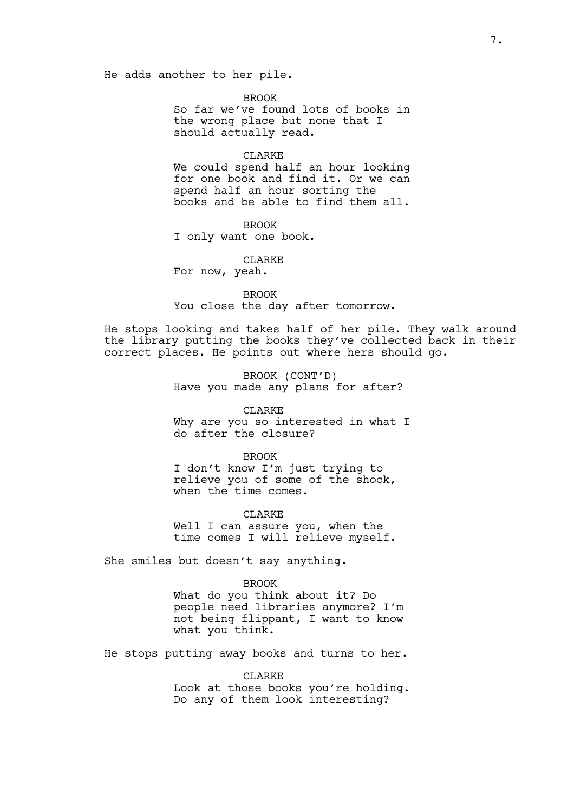BROOK

So far we've found lots of books in the wrong place but none that I should actually read.

#### CLARKE

We could spend half an hour looking for one book and find it. Or we can spend half an hour sorting the books and be able to find them all.

BROOK I only want one book.

CLARKE

For now, yeah.

BROOK You close the day after tomorrow.

He stops looking and takes half of her pile. They walk around the library putting the books they've collected back in their correct places. He points out where hers should go.

> BROOK (CONT'D) Have you made any plans for after?

CLARKE Why are you so interested in what I do after the closure?

BROOK

I don't know I'm just trying to relieve you of some of the shock, when the time comes.

CLARKE Well I can assure you, when the time comes I will relieve myself.

She smiles but doesn't say anything.

BROOK

What do you think about it? Do people need libraries anymore? I'm not being flippant, I want to know what you think.

He stops putting away books and turns to her.

CLARKE Look at those books you're holding. Do any of them look interesting?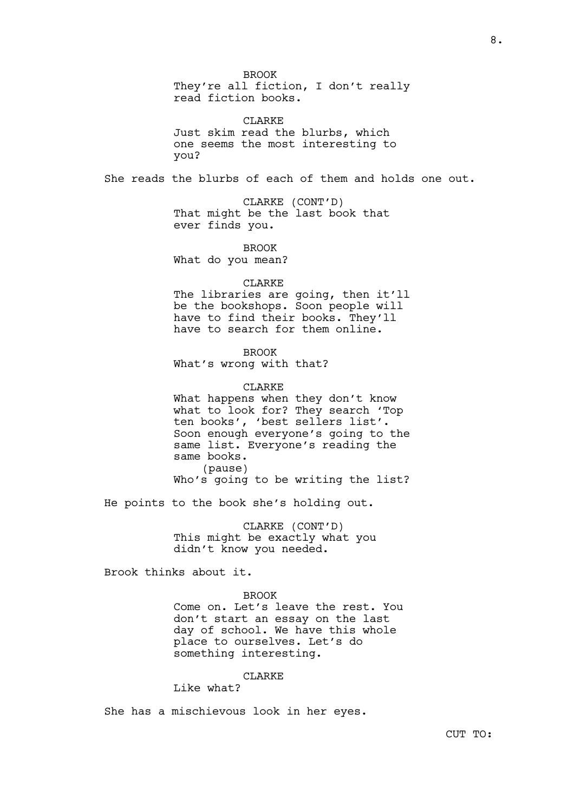BROOK They're all fiction, I don't really read fiction books.

CLARKE Just skim read the blurbs, which one seems the most interesting to you?

She reads the blurbs of each of them and holds one out.

CLARKE (CONT'D) That might be the last book that ever finds you.

BROOK

What do you mean?

### CLARKE

The libraries are going, then it'll be the bookshops. Soon people will have to find their books. They'll have to search for them online.

BROOK

What's wrong with that?

CLARKE

What happens when they don't know what to look for? They search 'Top ten books', 'best sellers list'. Soon enough everyone's going to the same list. Everyone's reading the same books. (pause)

Who's going to be writing the list?

He points to the book she's holding out.

CLARKE (CONT'D) This might be exactly what you didn't know you needed.

Brook thinks about it.

BROOK

Come on. Let's leave the rest. You don't start an essay on the last day of school. We have this whole place to ourselves. Let's do something interesting.

CLARKE

Like what?

She has a mischievous look in her eyes.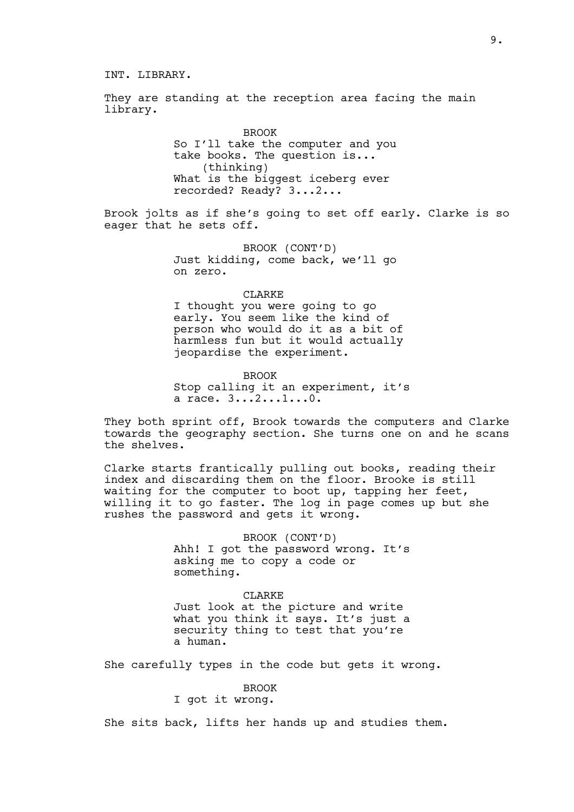## INT. LIBRARY.

They are standing at the reception area facing the main library.

> BROOK So I'll take the computer and you take books. The question is... (thinking) What is the biggest iceberg ever recorded? Ready? 3...2...

Brook jolts as if she's going to set off early. Clarke is so eager that he sets off.

> BROOK (CONT'D) Just kidding, come back, we'll go on zero.

#### CLARKE

I thought you were going to go early. You seem like the kind of person who would do it as a bit of harmless fun but it would actually jeopardise the experiment.

BROOK Stop calling it an experiment, it's a race. 3...2...1...0.

They both sprint off, Brook towards the computers and Clarke towards the geography section. She turns one on and he scans the shelves.

Clarke starts frantically pulling out books, reading their index and discarding them on the floor. Brooke is still waiting for the computer to boot up, tapping her feet, willing it to go faster. The log in page comes up but she rushes the password and gets it wrong.

> BROOK (CONT'D) Ahh! I got the password wrong. It's asking me to copy a code or something.

CLARKE Just look at the picture and write what you think it says. It's just a security thing to test that you're a human.

She carefully types in the code but gets it wrong.

### BROOK

# I got it wrong.

She sits back, lifts her hands up and studies them.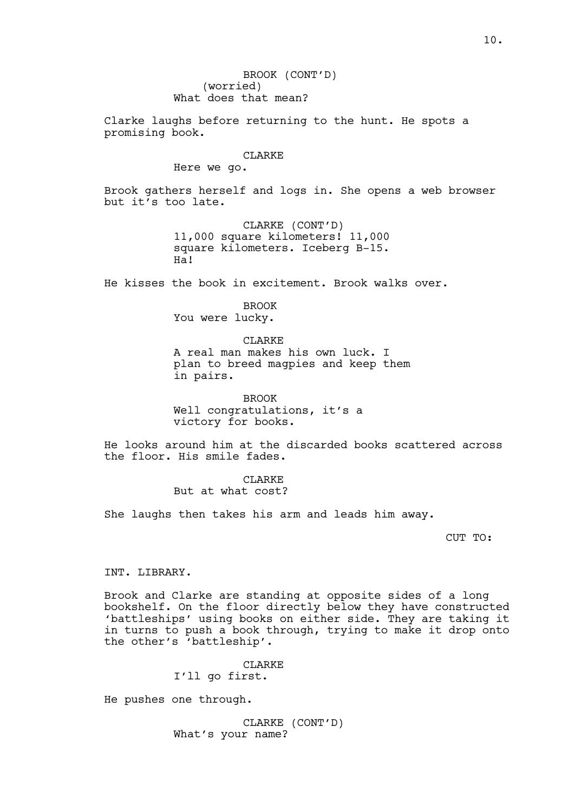BROOK (CONT'D) (worried) What does that mean?

Clarke laughs before returning to the hunt. He spots a promising book.

## CLARKE

Here we go.

Brook gathers herself and logs in. She opens a web browser but it's too late.

> CLARKE (CONT'D) 11,000 square kilometers! 11,000 square kilometers. Iceberg B-15. Ha!

He kisses the book in excitement. Brook walks over.

BROOK You were lucky.

CLARKE A real man makes his own luck. I plan to breed magpies and keep them in pairs.

BROOK Well congratulations, it's a victory for books.

He looks around him at the discarded books scattered across the floor. His smile fades.

> CLARKE But at what cost?

She laughs then takes his arm and leads him away.

CUT TO:

INT. LIBRARY.

Brook and Clarke are standing at opposite sides of a long bookshelf. On the floor directly below they have constructed 'battleships' using books on either side. They are taking it in turns to push a book through, trying to make it drop onto the other's 'battleship'.

> CLARKE I'll go first.

He pushes one through.

CLARKE (CONT'D) What's your name?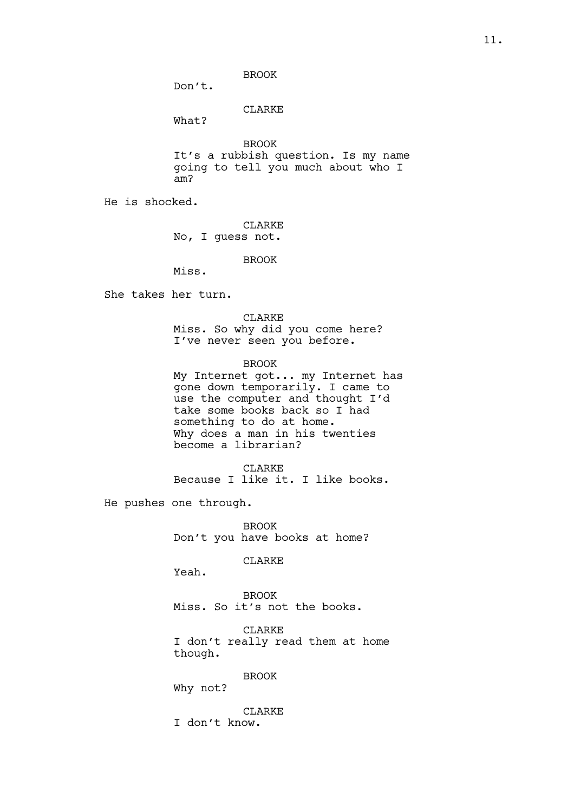BROOK

Don't.

CLARKE

What?

BROOK It's a rubbish question. Is my name going to tell you much about who I am?

He is shocked.

CLARKE No, I guess not.

BROOK

Miss.

She takes her turn.

CLARKE

Miss. So why did you come here? I've never seen you before.

BROOK

My Internet got... my Internet has gone down temporarily. I came to use the computer and thought I'd take some books back so I had something to do at home. Why does a man in his twenties become a librarian?

CLARKE

Because I like it. I like books.

He pushes one through.

BROOK Don't you have books at home?

CLARKE

Yeah.

BROOK Miss. So it's not the books.

CLARKE I don't really read them at home though.

BROOK

Why not?

CLARKE I don't know.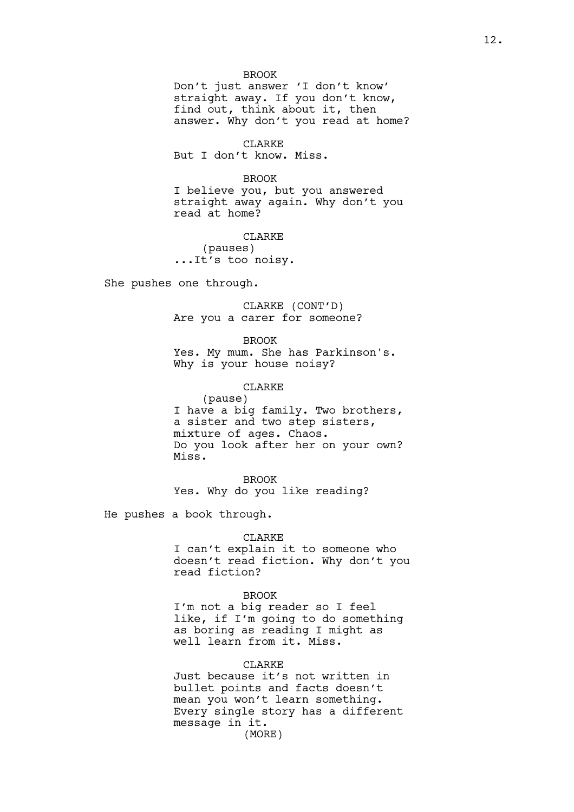BROOK Don't just answer 'I don't know' straight away. If you don't know, find out, think about it, then answer. Why don't you read at home?

CLARKE But I don't know. Miss.

BROOK I believe you, but you answered straight away again. Why don't you read at home?

CLARKE (pauses) ...It's too noisy.

She pushes one through.

CLARKE (CONT'D) Are you a carer for someone?

BROOK Yes. My mum. She has Parkinson's. Why is your house noisy?

CLARKE (pause) I have a big family. Two brothers, a sister and two step sisters, mixture of ages. Chaos. Do you look after her on your own?

Miss. BROOK

Yes. Why do you like reading?

He pushes a book through.

### CLARKE

I can't explain it to someone who doesn't read fiction. Why don't you read fiction?

### BROOK

I'm not a big reader so I feel like, if I'm going to do something as boring as reading I might as well learn from it. Miss.

## **CLARKE**

Just because it's not written in bullet points and facts doesn't mean you won't learn something. Every single story has a different message in it. (MORE)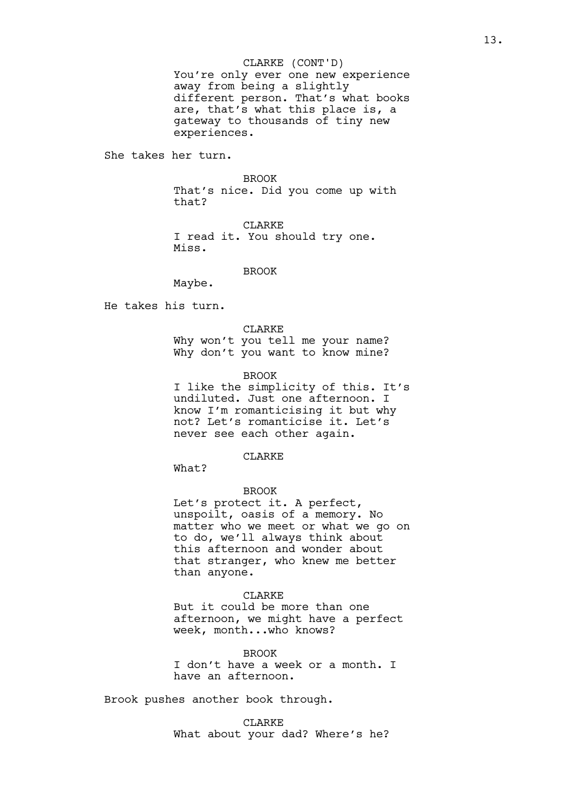You're only ever one new experience away from being a slightly different person. That's what books are, that's what this place is, a gateway to thousands of tiny new experiences.

She takes her turn.

#### BROOK

That's nice. Did you come up with that?

CLARKE I read it. You should try one. Miss.

**BROOK** 

Maybe.

He takes his turn.

CLARKE Why won't you tell me your name? Why don't you want to know mine?

BROOK

I like the simplicity of this. It's undiluted. Just one afternoon. I know I'm romanticising it but why not? Let's romanticise it. Let's never see each other again.

CLARKE

What?

BROOK

Let's protect it. A perfect, unspoilt, oasis of a memory. No matter who we meet or what we go on to do, we'll always think about this afternoon and wonder about that stranger, who knew me better than anyone.

CLARKE

But it could be more than one afternoon, we might have a perfect week, month...who knows?

**BROOK** I don't have a week or a month. I have an afternoon.

Brook pushes another book through.

CLARKE What about your dad? Where's he?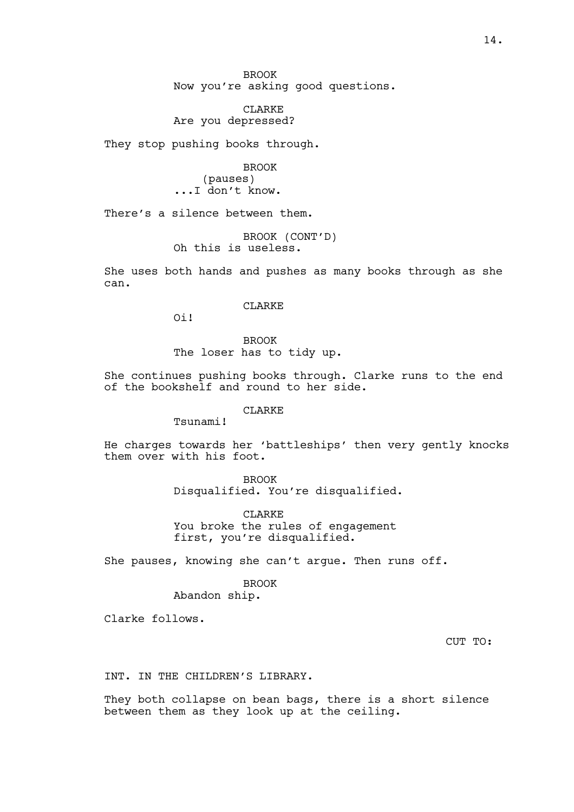BROOK Now you're asking good questions.

CLARKE Are you depressed?

They stop pushing books through.

BROOK (pauses) ...I don't know.

There's a silence between them.

BROOK (CONT'D) Oh this is useless.

She uses both hands and pushes as many books through as she can.

CLARKE

Oi!

BROOK The loser has to tidy up.

She continues pushing books through. Clarke runs to the end of the bookshelf and round to her side.

## CLARKE

Tsunami!

He charges towards her 'battleships' then very gently knocks them over with his foot.

> BROOK Disqualified. You're disqualified.

CLARKE You broke the rules of engagement first, you're disqualified.

She pauses, knowing she can't argue. Then runs off.

### BROOK

Abandon ship.

Clarke follows.

CUT TO:

### INT. IN THE CHILDREN'S LIBRARY.

They both collapse on bean bags, there is a short silence between them as they look up at the ceiling.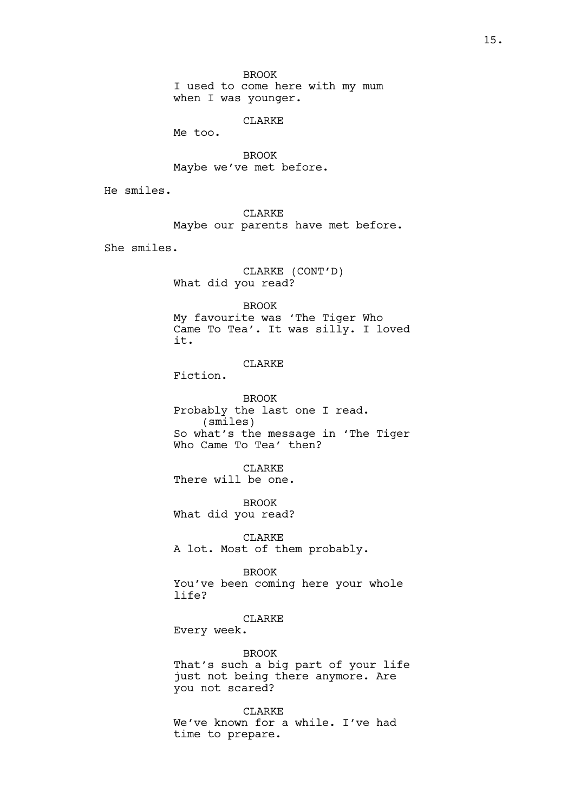BROOK I used to come here with my mum when I was younger.

CLARKE

Me too.

BROOK Maybe we've met before.

He smiles.

CLARKE Maybe our parents have met before.

She smiles.

CLARKE (CONT'D) What did you read?

BROOK

My favourite was 'The Tiger Who Came To Tea'. It was silly. I loved it.

## CLARKE

Fiction.

BROOK Probably the last one I read. (smiles) So what's the message in 'The Tiger Who Came To Tea' then?

CLARKE

There will be one.

BROOK What did you read?

CLARKE A lot. Most of them probably.

BROOK You've been coming here your whole life?

CLARKE

Every week.

BROOK That's such a big part of your life just not being there anymore. Are you not scared?

CLARKE We've known for a while. I've had time to prepare.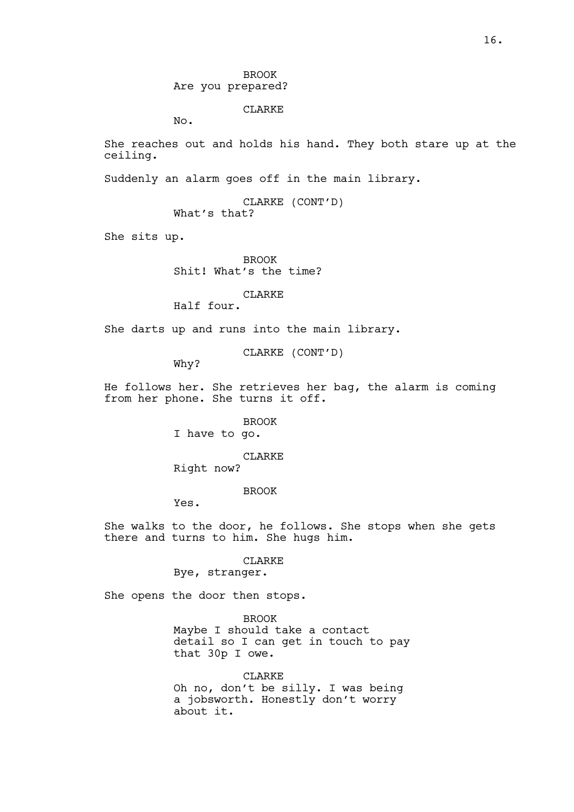BROOK Are you prepared?

### CLARKE

No.

She reaches out and holds his hand. They both stare up at the ceiling.

Suddenly an alarm goes off in the main library.

CLARKE (CONT'D) What's that?

She sits up.

BROOK Shit! What's the time?

CLARKE

Half four.

She darts up and runs into the main library.

CLARKE (CONT'D)

Why?

He follows her. She retrieves her bag, the alarm is coming from her phone. She turns it off.

> BROOK I have to go.

CLARKE

Right now?

BROOK

Yes.

She walks to the door, he follows. She stops when she gets there and turns to him. She hugs him.

CLARKE

Bye, stranger.

She opens the door then stops.

BROOK Maybe I should take a contact detail so I can get in touch to pay that 30p I owe.

CLARKE Oh no, don't be silly. I was being a jobsworth. Honestly don't worry about it.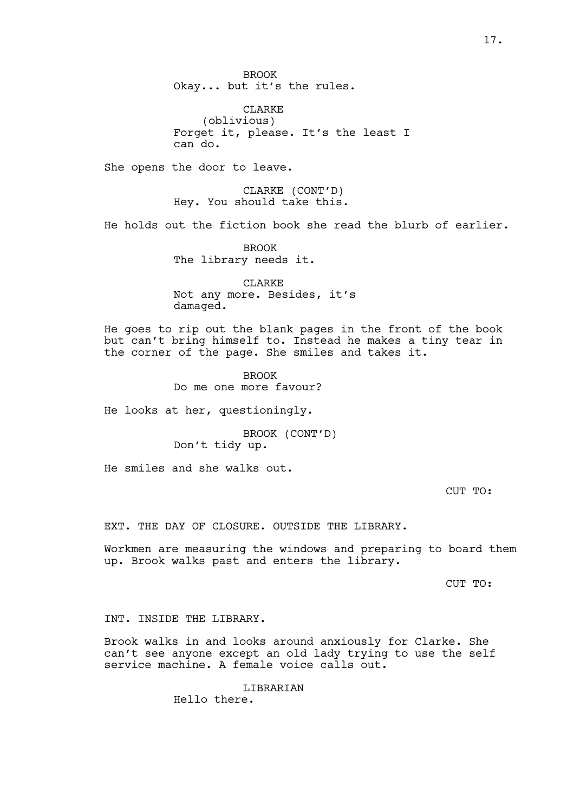BROOK Okay... but it's the rules.

CLARKE (oblivious) Forget it, please. It's the least I can do.

She opens the door to leave.

CLARKE (CONT'D) Hey. You should take this.

He holds out the fiction book she read the blurb of earlier.

BROOK The library needs it.

CLARKE Not any more. Besides, it's damaged.

He goes to rip out the blank pages in the front of the book but can't bring himself to. Instead he makes a tiny tear in the corner of the page. She smiles and takes it.

> BROOK Do me one more favour?

He looks at her, questioningly.

BROOK (CONT'D) Don't tidy up.

He smiles and she walks out.

CUT TO:

EXT. THE DAY OF CLOSURE. OUTSIDE THE LIBRARY.

Workmen are measuring the windows and preparing to board them up. Brook walks past and enters the library.

CUT TO:

INT. INSIDE THE LIBRARY.

Brook walks in and looks around anxiously for Clarke. She can't see anyone except an old lady trying to use the self service machine. A female voice calls out.

**LIBRARIAN** 

Hello there.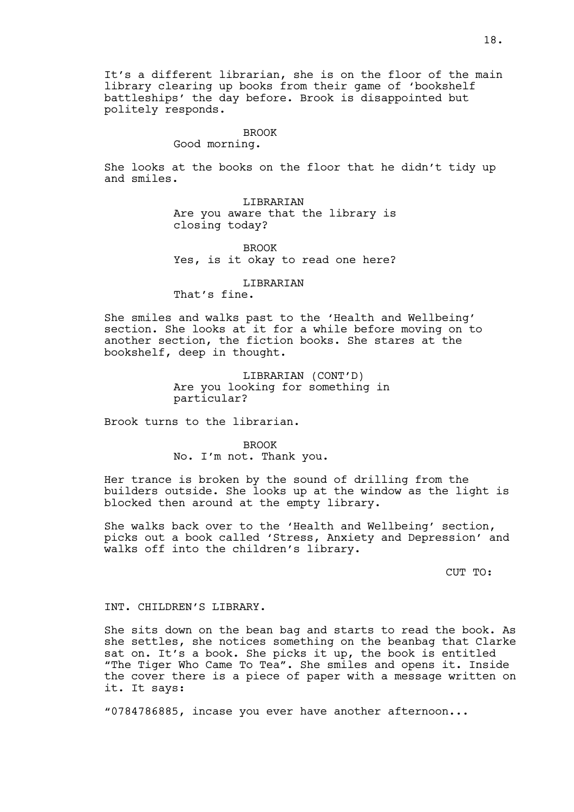It's a different librarian, she is on the floor of the main library clearing up books from their game of 'bookshelf battleships' the day before. Brook is disappointed but politely responds.

#### BROOK

Good morning.

She looks at the books on the floor that he didn't tidy up and smiles.

> LIBRARIAN Are you aware that the library is closing today?

> BROOK Yes, is it okay to read one here?

### LIBRARIAN

That's fine.

She smiles and walks past to the 'Health and Wellbeing' section. She looks at it for a while before moving on to another section, the fiction books. She stares at the bookshelf, deep in thought.

> LIBRARIAN (CONT'D) Are you looking for something in particular?

Brook turns to the librarian.

BROOK No. I'm not. Thank you.

Her trance is broken by the sound of drilling from the builders outside. She looks up at the window as the light is blocked then around at the empty library.

She walks back over to the 'Health and Wellbeing' section, picks out a book called 'Stress, Anxiety and Depression' and walks off into the children's library.

CUT TO:

INT. CHILDREN'S LIBRARY.

She sits down on the bean bag and starts to read the book. As she settles, she notices something on the beanbag that Clarke sat on. It's a book. She picks it up, the book is entitled "The Tiger Who Came To Tea". She smiles and opens it. Inside the cover there is a piece of paper with a message written on it. It says:

"0784786885, incase you ever have another afternoon...